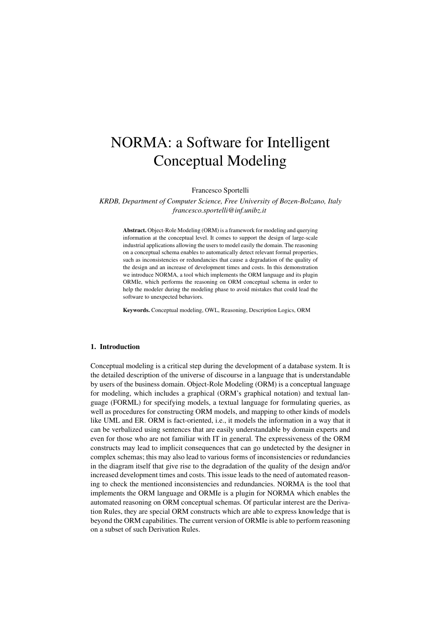# NORMA: a Software for Intelligent Conceptual Modeling

Francesco Sportelli

*KRDB, Department of Computer Science, Free University of Bozen-Bolzano, Italy francesco.sportelli@inf.unibz.it*

Abstract. Object-Role Modeling (ORM) is a framework for modeling and querying information at the conceptual level. It comes to support the design of large-scale industrial applications allowing the users to model easily the domain. The reasoning on a conceptual schema enables to automatically detect relevant formal properties, such as inconsistencies or redundancies that cause a degradation of the quality of the design and an increase of development times and costs. In this demonstration we introduce NORMA, a tool which implements the ORM language and its plugin ORMIe, which performs the reasoning on ORM conceptual schema in order to help the modeler during the modeling phase to avoid mistakes that could lead the software to unexpected behaviors.

Keywords. Conceptual modeling, OWL, Reasoning, Description Logics, ORM

#### 1. Introduction

Conceptual modeling is a critical step during the development of a database system. It is the detailed description of the universe of discourse in a language that is understandable by users of the business domain. Object-Role Modeling (ORM) is a conceptual language for modeling, which includes a graphical (ORM's graphical notation) and textual language (FORML) for specifying models, a textual language for formulating queries, as well as procedures for constructing ORM models, and mapping to other kinds of models like UML and ER. ORM is fact-oriented, i.e., it models the information in a way that it can be verbalized using sentences that are easily understandable by domain experts and even for those who are not familiar with IT in general. The expressiveness of the ORM constructs may lead to implicit consequences that can go undetected by the designer in complex schemas; this may also lead to various forms of inconsistencies or redundancies in the diagram itself that give rise to the degradation of the quality of the design and/or increased development times and costs. This issue leads to the need of automated reasoning to check the mentioned inconsistencies and redundancies. NORMA is the tool that implements the ORM language and ORMIe is a plugin for NORMA which enables the automated reasoning on ORM conceptual schemas. Of particular interest are the Derivation Rules, they are special ORM constructs which are able to express knowledge that is beyond the ORM capabilities. The current version of ORMIe is able to perform reasoning on a subset of such Derivation Rules.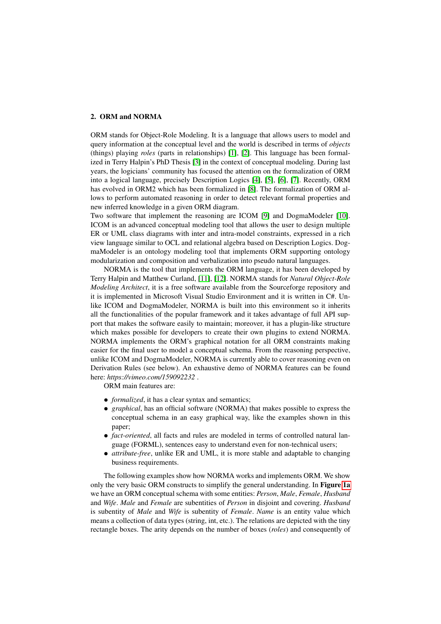# 2. ORM and NORMA

ORM stands for Object-Role Modeling. It is a language that allows users to model and query information at the conceptual level and the world is described in terms of *objects* (things) playing *roles* (parts in relationships) [\[1\]](#page-4-0), [\[2\]](#page-4-1). This language has been formalized in Terry Halpin's PhD Thesis [\[3\]](#page-4-2) in the context of conceptual modeling. During last years, the logicians' community has focused the attention on the formalization of ORM into a logical language, precisely Description Logics [\[4\]](#page-4-3), [\[5\]](#page-4-4), [\[6\]](#page-4-5), [\[7\]](#page-4-6). Recently, ORM has evolved in ORM2 which has been formalized in [\[8\]](#page-4-7). The formalization of ORM allows to perform automated reasoning in order to detect relevant formal properties and new inferred knowledge in a given ORM diagram.

Two software that implement the reasoning are ICOM [\[9\]](#page-4-8) and DogmaModeler [\[10\]](#page-4-9). ICOM is an advanced conceptual modeling tool that allows the user to design multiple ER or UML class diagrams with inter and intra-model constraints, expressed in a rich view language similar to OCL and relational algebra based on Description Logics. DogmaModeler is an ontology modeling tool that implements ORM supporting ontology modularization and composition and verbalization into pseudo natural languages.

NORMA is the tool that implements the ORM language, it has been developed by Terry Halpin and Matthew Curland, [\[11\]](#page-4-10), [\[12\]](#page-4-11). NORMA stands for *Natural Object-Role Modeling Architect*, it is a free software available from the Sourceforge repository and it is implemented in Microsoft Visual Studio Environment and it is written in C#. Unlike ICOM and DogmaModeler, NORMA is built into this environment so it inherits all the functionalities of the popular framework and it takes advantage of full API support that makes the software easily to maintain; moreover, it has a plugin-like structure which makes possible for developers to create their own plugins to extend NORMA. NORMA implements the ORM's graphical notation for all ORM constraints making easier for the final user to model a conceptual schema. From the reasoning perspective, unlike ICOM and DogmaModeler, NORMA is currently able to cover reasoning even on Derivation Rules (see below). An exhaustive demo of NORMA features can be found here: *https://vimeo.com/159092232* .

ORM main features are:

- *formalized*, it has a clear syntax and semantics;
- *graphical*, has an official software (NORMA) that makes possible to express the conceptual schema in an easy graphical way, like the examples shown in this paper;
- *fact-oriented*, all facts and rules are modeled in terms of controlled natural language (FORML), sentences easy to understand even for non-technical users;
- *attribute-free*, unlike ER and UML, it is more stable and adaptable to changing business requirements.

The following examples show how NORMA works and implements ORM. We show only the very basic ORM constructs to simplify the general understanding. In Figure [1a](#page-2-0) we have an ORM conceptual schema with some entities: *Person*, *Male*, *Female*, *Husband* and *Wife*. *Male* and *Female* are subentities of *Person* in disjoint and covering. *Husband* is subentity of *Male* and *Wife* is subentity of *Female*. *Name* is an entity value which means a collection of data types (string, int, etc.). The relations are depicted with the tiny rectangle boxes. The arity depends on the number of boxes (*roles*) and consequently of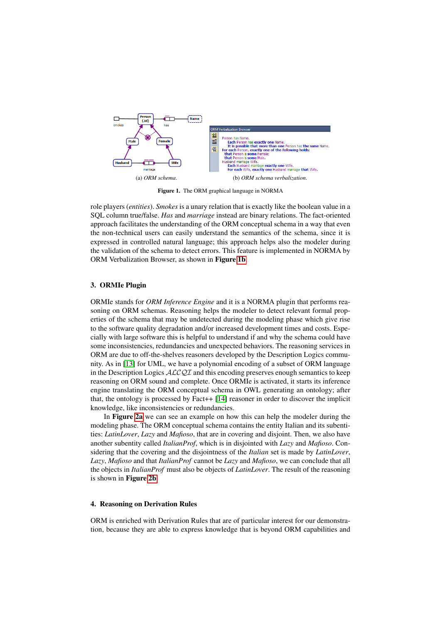<span id="page-2-0"></span>

<span id="page-2-1"></span>Figure 1. The ORM graphical language in NORMA

role players (*entities*). *Smokes* is a unary relation that is exactly like the boolean value in a SQL column true/false. *Has* and *marriage* instead are binary relations. The fact-oriented approach facilitates the understanding of the ORM conceptual schema in a way that even the non-technical users can easily understand the semantics of the schema, since it is expressed in controlled natural language; this approach helps also the modeler during the validation of the schema to detect errors. This feature is implemented in NORMA by ORM Verbalization Browser, as shown in Figure [1b](#page-2-1).

## 3. ORMIe Plugin

ORMIe stands for *ORM Inference Engine* and it is a NORMA plugin that performs reasoning on ORM schemas. Reasoning helps the modeler to detect relevant formal properties of the schema that may be undetected during the modeling phase which give rise to the software quality degradation and/or increased development times and costs. Especially with large software this is helpful to understand if and why the schema could have some inconsistencies, redundancies and unexpected behaviors. The reasoning services in ORM are due to off-the-shelves reasoners developed by the Description Logics community. As in [\[13\]](#page-4-12) for UML, we have a polynomial encoding of a subset of ORM language in the Description Logics  $\mathcal{ALCQI}$  and this encoding preserves enough semantics to keep reasoning on ORM sound and complete. Once ORMIe is activated, it starts its inference engine translating the ORM conceptual schema in OWL generating an ontology; after that, the ontology is processed by Fact++ [\[14\]](#page-4-13) reasoner in order to discover the implicit knowledge, like inconsistencies or redundancies.

In Figure [2a](#page-3-0) we can see an example on how this can help the modeler during the modeling phase. The ORM conceptual schema contains the entity Italian and its subentities: *LatinLover*, *Lazy* and *Mafioso*, that are in covering and disjoint. Then, we also have another subentity called *ItalianProf*, which is in disjointed with *Lazy* and *Mafioso*. Considering that the covering and the disjointness of the *Italian* set is made by *LatinLover*, *Lazy*, *Mafioso* and that *ItalianProf* cannot be *Lazy* and *Mafioso*, we can conclude that all the objects in *ItalianProf* must also be objects of *LatinLover*. The result of the reasoning is shown in Figure [2b](#page-3-1).

#### 4. Reasoning on Derivation Rules

ORM is enriched with Derivation Rules that are of particular interest for our demonstration, because they are able to express knowledge that is beyond ORM capabilities and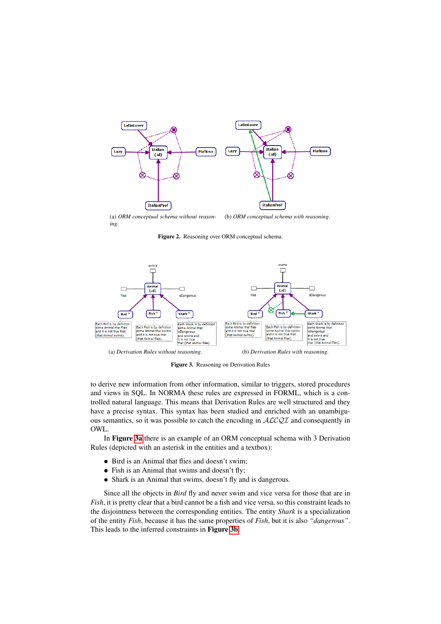<span id="page-3-0"></span>

(a) *ORM conceptual schema without reasoning*. (b) *ORM conceptual schema with reasoning*.

<span id="page-3-1"></span>Figure 2. Reasoning over ORM conceptual schema.

<span id="page-3-2"></span>

<span id="page-3-3"></span>Figure 3. Reasoning on Derivation Rules

to derive new information from other information, similar to triggers, stored procedures and views in SQL. In NORMA these rules are expressed in FORML, which is a controlled natural language. This means that Derivation Rules are well structured and they have a precise syntax. This syntax has been studied and enriched with an unambiguous semantics, so it was possible to catch the encoding in ALCQI and consequently in OWL.

In Figure [3a](#page-3-2) there is an example of an ORM conceptual schema with 3 Derivation Rules (depicted with an asterisk in the entities and a textbox):

- Bird is an Animal that flies and doesn't swim;
- Fish is an Animal that swims and doesn't fly;
- Shark is an Animal that swims, doesn't fly and is dangerous.

Since all the objects in *Bird* fly and never swim and vice versa for those that are in *Fish*, it is pretty clear that a bird cannot be a fish and vice versa, so this constraint leads to the disjointness between the corresponding entities. The entity *Shark* is a specialization of the entity *Fish*, because it has the same properties of *Fish*, but it is also *"dangerous"*. This leads to the inferred constraints in Figure [3b](#page-3-3).